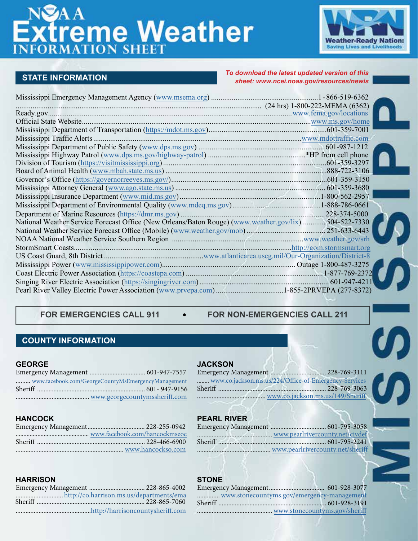# **Extreme Weather**



**STATE INFORMATION** *To download the latest updated version of this sheet: www.[ncei.noaa.gov/resources/newis](https://www.ncei.noaa.gov/resources/newis)*

| National Weather Service Forecast Office (New Orleans/Baton Rouge) (www.weather.gov/lix) 504-522-7330 |  |
|-------------------------------------------------------------------------------------------------------|--|
|                                                                                                       |  |
|                                                                                                       |  |
|                                                                                                       |  |
|                                                                                                       |  |
|                                                                                                       |  |
|                                                                                                       |  |
|                                                                                                       |  |
| Pearl River Valley Electric Power Association (www.prvepa.com) 1-855-2PRVEPA (277-8372)               |  |

# **FOR EMERGENCIES CALL 911 FOR NON-EMERGENCIES CALL 211**

# **COUNTY INFORMATION**

#### **GEORGE**

| www.facebook.com/GeorgeCountyMsEmergencyManagement |
|----------------------------------------------------|
|                                                    |
|                                                    |
|                                                    |

# **HANCOCK**

#### **JACKSON**

| <b>JACKSON</b>                                        |  |  |
|-------------------------------------------------------|--|--|
| Emergency Management<br>$\ldots$ 228-769-3111         |  |  |
| www.co.jackson.ms.us/224/Office-of-Emergency-Services |  |  |
| Sheriff<br>228-769-3063                               |  |  |
| www.co.jackson.ms.us/149/Sheriff                      |  |  |
|                                                       |  |  |

# **PEARL RIVER**

## **HARRISON**

# **STONE**

| www.stonecountyms.gov/emergency-management |  |
|--------------------------------------------|--|
|                                            |  |
|                                            |  |